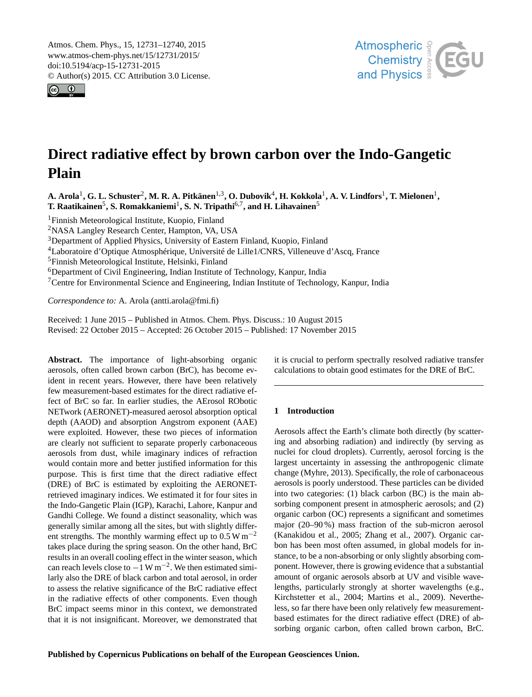<span id="page-0-1"></span>Atmos. Chem. Phys., 15, 12731–12740, 2015 www.atmos-chem-phys.net/15/12731/2015/ doi:10.5194/acp-15-12731-2015 © Author(s) 2015. CC Attribution 3.0 License.





# **Direct radiative effect by brown carbon over the Indo-Gangetic Plain**

 ${\bf A.~Arola}^1, {\bf G.~L.~Schuster}^2, {\bf M.~R.~A.~Pitkänen<sup>1,3</sup>, {\bf O.~Dubovik}^4, {\bf H.~Kokkola}^1, {\bf A.~V.~Lindfors}^1, {\bf T.~Mielonen}^1,$  ${\bf A.~Arola}^1, {\bf G.~L.~Schuster}^2, {\bf M.~R.~A.~Pitkänen<sup>1,3</sup>, {\bf O.~Dubovik}^4, {\bf H.~Kokkola}^1, {\bf A.~V.~Lindfors}^1, {\bf T.~Mielonen}^1,$  ${\bf A.~Arola}^1, {\bf G.~L.~Schuster}^2, {\bf M.~R.~A.~Pitkänen<sup>1,3</sup>, {\bf O.~Dubovik}^4, {\bf H.~Kokkola}^1, {\bf A.~V.~Lindfors}^1, {\bf T.~Mielonen}^1,$  ${\bf A.~Arola}^1, {\bf G.~L.~Schuster}^2, {\bf M.~R.~A.~Pitkänen<sup>1,3</sup>, {\bf O.~Dubovik}^4, {\bf H.~Kokkola}^1, {\bf A.~V.~Lindfors}^1, {\bf T.~Mielonen}^1,$  ${\bf A.~Arola}^1, {\bf G.~L.~Schuster}^2, {\bf M.~R.~A.~Pitkänen<sup>1,3</sup>, {\bf O.~Dubovik}^4, {\bf H.~Kokkola}^1, {\bf A.~V.~Lindfors}^1, {\bf T.~Mielonen}^1,$  ${\bf A.~Arola}^1, {\bf G.~L.~Schuster}^2, {\bf M.~R.~A.~Pitkänen<sup>1,3</sup>, {\bf O.~Dubovik}^4, {\bf H.~Kokkola}^1, {\bf A.~V.~Lindfors}^1, {\bf T.~Mielonen}^1,$  ${\bf A.~Arola}^1, {\bf G.~L.~Schuster}^2, {\bf M.~R.~A.~Pitkänen<sup>1,3</sup>, {\bf O.~Dubovik}^4, {\bf H.~Kokkola}^1, {\bf A.~V.~Lindfors}^1, {\bf T.~Mielonen}^1,$  ${\bf A.~Arola}^1, {\bf G.~L.~Schuster}^2, {\bf M.~R.~A.~Pitkänen<sup>1,3</sup>, {\bf O.~Dubovik}^4, {\bf H.~Kokkola}^1, {\bf A.~V.~Lindfors}^1, {\bf T.~Mielonen}^1,$  ${\bf A.~Arola}^1, {\bf G.~L.~Schuster}^2, {\bf M.~R.~A.~Pitkänen<sup>1,3</sup>, {\bf O.~Dubovik}^4, {\bf H.~Kokkola}^1, {\bf A.~V.~Lindfors}^1, {\bf T.~Mielonen}^1,$ **T. Raatikainen**[5](#page-0-0) **, S. Romakkaniemi**[1](#page-0-0) **, S. N. Tripathi**[6,7](#page-0-0) **, and H. Lihavainen**[5](#page-0-0)

<sup>1</sup>Finnish Meteorological Institute, Kuopio, Finland

<sup>2</sup>NASA Langley Research Center, Hampton, VA, USA

<sup>3</sup>Department of Applied Physics, University of Eastern Finland, Kuopio, Finland

<sup>4</sup>Laboratoire d'Optique Atmosphérique, Université de Lille1/CNRS, Villeneuve d'Ascq, France

<sup>5</sup>Finnish Meteorological Institute, Helsinki, Finland

<sup>6</sup>Department of Civil Engineering, Indian Institute of Technology, Kanpur, India

<sup>7</sup>Centre for Environmental Science and Engineering, Indian Institute of Technology, Kanpur, India

*Correspondence to:* A. Arola (antti.arola@fmi.fi)

Received: 1 June 2015 – Published in Atmos. Chem. Phys. Discuss.: 10 August 2015 Revised: 22 October 2015 – Accepted: 26 October 2015 – Published: 17 November 2015

<span id="page-0-0"></span>**Abstract.** The importance of light-absorbing organic aerosols, often called brown carbon (BrC), has become evident in recent years. However, there have been relatively few measurement-based estimates for the direct radiative effect of BrC so far. In earlier studies, the AErosol RObotic NETwork (AERONET)-measured aerosol absorption optical depth (AAOD) and absorption Angstrom exponent (AAE) were exploited. However, these two pieces of information are clearly not sufficient to separate properly carbonaceous aerosols from dust, while imaginary indices of refraction would contain more and better justified information for this purpose. This is first time that the direct radiative effect (DRE) of BrC is estimated by exploiting the AERONETretrieved imaginary indices. We estimated it for four sites in the Indo-Gangetic Plain (IGP), Karachi, Lahore, Kanpur and Gandhi College. We found a distinct seasonality, which was generally similar among all the sites, but with slightly different strengths. The monthly warming effect up to  $0.5 W m^{-2}$ takes place during the spring season. On the other hand, BrC results in an overall cooling effect in the winter season, which can reach levels close to  $-1 \text{ W m}^{-2}$ . We then estimated similarly also the DRE of black carbon and total aerosol, in order to assess the relative significance of the BrC radiative effect in the radiative effects of other components. Even though BrC impact seems minor in this context, we demonstrated that it is not insignificant. Moreover, we demonstrated that it is crucial to perform spectrally resolved radiative transfer calculations to obtain good estimates for the DRE of BrC.

## **1 Introduction**

Aerosols affect the Earth's climate both directly (by scattering and absorbing radiation) and indirectly (by serving as nuclei for cloud droplets). Currently, aerosol forcing is the largest uncertainty in assessing the anthropogenic climate change [\(Myhre,](#page-9-0) [2013\)](#page-9-0). Specifically, the role of carbonaceous aerosols is poorly understood. These particles can be divided into two categories: (1) black carbon (BC) is the main absorbing component present in atmospheric aerosols; and (2) organic carbon (OC) represents a significant and sometimes major (20–90 %) mass fraction of the sub-micron aerosol [\(Kanakidou et al.,](#page-8-0) [2005;](#page-8-0) [Zhang et al.,](#page-9-1) [2007\)](#page-9-1). Organic carbon has been most often assumed, in global models for instance, to be a non-absorbing or only slightly absorbing component. However, there is growing evidence that a substantial amount of organic aerosols absorb at UV and visible wavelengths, particularly strongly at shorter wavelengths (e.g., [Kirchstetter et al.,](#page-9-2) [2004;](#page-9-2) [Martins et al.,](#page-9-3) [2009\)](#page-9-3). Nevertheless, so far there have been only relatively few measurementbased estimates for the direct radiative effect (DRE) of absorbing organic carbon, often called brown carbon, BrC.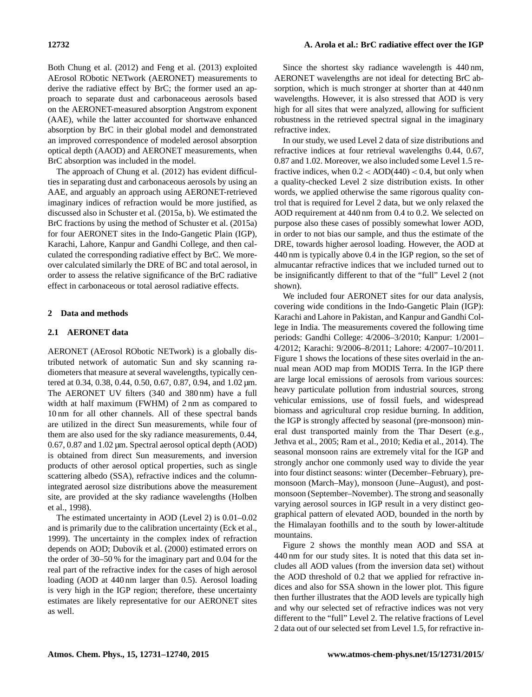Both [Chung et al.](#page-8-1) [\(2012\)](#page-8-1) and [Feng et al.](#page-8-2) [\(2013\)](#page-8-2) exploited AErosol RObotic NETwork (AERONET) measurements to derive the radiative effect by BrC; the former used an approach to separate dust and carbonaceous aerosols based on the AERONET-measured absorption Angstrom exponent (AAE), while the latter accounted for shortwave enhanced absorption by BrC in their global model and demonstrated an improved correspondence of modeled aerosol absorption optical depth (AAOD) and AERONET measurements, when BrC absorption was included in the model.

The approach of [Chung et al.](#page-8-1) [\(2012\)](#page-8-1) has evident difficulties in separating dust and carbonaceous aerosols by using an AAE, and arguably an approach using AERONET-retrieved imaginary indices of refraction would be more justified, as discussed also in [Schuster et al.](#page-9-4) [\(2015a,](#page-9-4) [b\)](#page-9-5). We estimated the BrC fractions by using the method of [Schuster et al.](#page-9-4) [\(2015a\)](#page-9-4) for four AERONET sites in the Indo-Gangetic Plain (IGP), Karachi, Lahore, Kanpur and Gandhi College, and then calculated the corresponding radiative effect by BrC. We moreover calculated similarly the DRE of BC and total aerosol, in order to assess the relative significance of the BrC radiative effect in carbonaceous or total aerosol radiative effects.

# **2 Data and methods**

## **2.1 AERONET data**

AERONET (AErosol RObotic NETwork) is a globally distributed network of automatic Sun and sky scanning radiometers that measure at several wavelengths, typically centered at 0.34, 0.38, 0.44, 0.50, 0.67, 0.87, 0.94, and 1.02  $\mu$ m. The AERONET UV filters (340 and 380 nm) have a full width at half maximum (FWHM) of 2 nm as compared to 10 nm for all other channels. All of these spectral bands are utilized in the direct Sun measurements, while four of them are also used for the sky radiance measurements, 0.44, 0.67, 0.87 and 1.02 µm. Spectral aerosol optical depth (AOD) is obtained from direct Sun measurements, and inversion products of other aerosol optical properties, such as single scattering albedo (SSA), refractive indices and the columnintegrated aerosol size distributions above the measurement site, are provided at the sky radiance wavelengths [\(Holben](#page-8-3) [et al.,](#page-8-3) [1998\)](#page-8-3).

The estimated uncertainty in AOD (Level 2) is 0.01–0.02 and is primarily due to the calibration uncertainty [\(Eck et al.,](#page-8-4) [1999\)](#page-8-4). The uncertainty in the complex index of refraction depends on AOD; [Dubovik et al.](#page-8-5) [\(2000\)](#page-8-5) estimated errors on the order of 30–50 % for the imaginary part and 0.04 for the real part of the refractive index for the cases of high aerosol loading (AOD at 440 nm larger than 0.5). Aerosol loading is very high in the IGP region; therefore, these uncertainty estimates are likely representative for our AERONET sites as well.

Since the shortest sky radiance wavelength is 440 nm, AERONET wavelengths are not ideal for detecting BrC absorption, which is much stronger at shorter than at 440 nm wavelengths. However, it is also stressed that AOD is very high for all sites that were analyzed, allowing for sufficient robustness in the retrieved spectral signal in the imaginary refractive index.

In our study, we used Level 2 data of size distributions and refractive indices at four retrieval wavelengths 0.44, 0.67, 0.87 and 1.02. Moreover, we also included some Level 1.5 refractive indices, when  $0.2 < AOD(440) < 0.4$ , but only when a quality-checked Level 2 size distribution exists. In other words, we applied otherwise the same rigorous quality control that is required for Level 2 data, but we only relaxed the AOD requirement at 440 nm from 0.4 to 0.2. We selected on purpose also these cases of possibly somewhat lower AOD, in order to not bias our sample, and thus the estimate of the DRE, towards higher aerosol loading. However, the AOD at 440 nm is typically above 0.4 in the IGP region, so the set of almucantar refractive indices that we included turned out to be insignificantly different to that of the "full" Level 2 (not shown).

We included four AERONET sites for our data analysis, covering wide conditions in the Indo-Gangetic Plain (IGP): Karachi and Lahore in Pakistan, and Kanpur and Gandhi College in India. The measurements covered the following time periods: Gandhi College: 4/2006–3/2010; Kanpur: 1/2001– 4/2012; Karachi: 9/2006–8/2011; Lahore: 4/2007–10/2011. Figure 1 shows the locations of these sites overlaid in the annual mean AOD map from MODIS Terra. In the IGP there are large local emissions of aerosols from various sources: heavy particulate pollution from industrial sources, strong vehicular emissions, use of fossil fuels, and widespread biomass and agricultural crop residue burning. In addition, the IGP is strongly affected by seasonal (pre-monsoon) mineral dust transported mainly from the Thar Desert (e.g., [Jethva et al.,](#page-8-6) [2005;](#page-8-6) [Ram et al.,](#page-9-6) [2010;](#page-9-6) [Kedia et al.,](#page-9-7) [2014\)](#page-9-7). The seasonal monsoon rains are extremely vital for the IGP and strongly anchor one commonly used way to divide the year into four distinct seasons: winter (December–February), premonsoon (March–May), monsoon (June–August), and postmonsoon (September–November). The strong and seasonally varying aerosol sources in IGP result in a very distinct geographical pattern of elevated AOD, bounded in the north by the Himalayan foothills and to the south by lower-altitude mountains.

Figure 2 shows the monthly mean AOD and SSA at 440 nm for our study sites. It is noted that this data set includes all AOD values (from the inversion data set) without the AOD threshold of 0.2 that we applied for refractive indices and also for SSA shown in the lower plot. This figure then further illustrates that the AOD levels are typically high and why our selected set of refractive indices was not very different to the "full" Level 2. The relative fractions of Level 2 data out of our selected set from Level 1.5, for refractive in-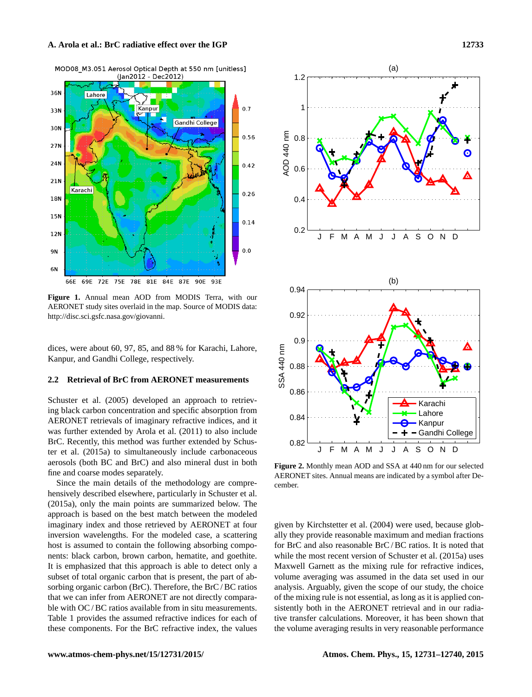

**Figure 1.** Annual mean AOD from MODIS Terra, with our AERONET study sites overlaid in the map. Source of MODIS data: [http://disc.sci.gsfc.nasa.gov/giovanni.](http://disc.sci.gsfc.nasa.gov/giovanni)

dices, were about 60, 97, 85, and 88 % for Karachi, Lahore, Kanpur, and Gandhi College, respectively.

## **2.2 Retrieval of BrC from AERONET measurements**

[Schuster et al.](#page-9-8) [\(2005\)](#page-9-8) developed an approach to retrieving black carbon concentration and specific absorption from AERONET retrievals of imaginary refractive indices, and it was further extended by [Arola et al.](#page-8-7) [\(2011\)](#page-8-7) to also include BrC. Recently, this method was further extended by [Schus](#page-9-4)[ter et al.](#page-9-4) [\(2015a\)](#page-9-4) to simultaneously include carbonaceous aerosols (both BC and BrC) and also mineral dust in both fine and coarse modes separately.

Since the main details of the methodology are comprehensively described elsewhere, particularly in [Schuster et al.](#page-9-4) [\(2015a\)](#page-9-4), only the main points are summarized below. The approach is based on the best match between the modeled imaginary index and those retrieved by AERONET at four inversion wavelengths. For the modeled case, a scattering host is assumed to contain the following absorbing components: black carbon, brown carbon, hematite, and goethite. It is emphasized that this approach is able to detect only a subset of total organic carbon that is present, the part of absorbing organic carbon (BrC). Therefore, the BrC/BC ratios that we can infer from AERONET are not directly comparable with OC/BC ratios available from in situ measurements. Table 1 provides the assumed refractive indices for each of these components. For the BrC refractive index, the values



**Figure 2.** Monthly mean AOD and SSA at 440 nm for our selected AERONET sites. Annual means are indicated by a symbol after December.

given by [Kirchstetter et al.](#page-9-2) [\(2004\)](#page-9-2) were used, because globally they provide reasonable maximum and median fractions for BrC and also reasonable BrC / BC ratios. It is noted that while the most recent version of [Schuster et al.](#page-9-4) [\(2015a\)](#page-9-4) uses Maxwell Garnett as the mixing rule for refractive indices, volume averaging was assumed in the data set used in our analysis. Arguably, given the scope of our study, the choice of the mixing rule is not essential, as long as it is applied consistently both in the AERONET retrieval and in our radiative transfer calculations. Moreover, it has been shown that the volume averaging results in very reasonable performance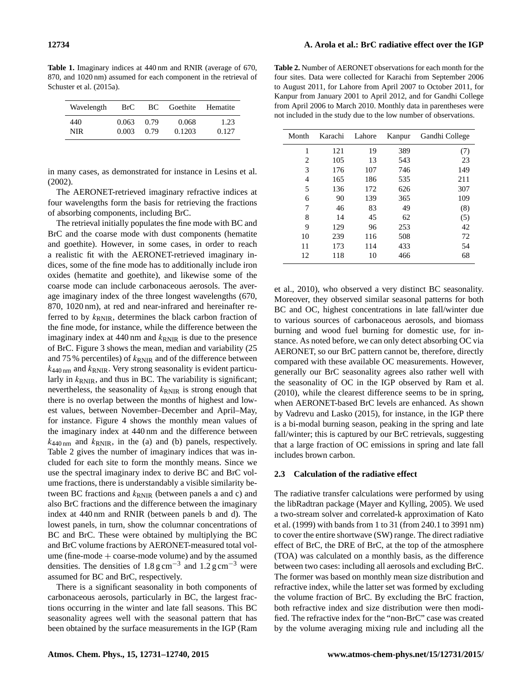**Table 1.** Imaginary indices at 440 nm and RNIR (average of 670, 870, and 1020 nm) assumed for each component in the retrieval of [Schuster et al.](#page-9-4) [\(2015a\)](#page-9-4).

| Wavelength | BrC   |      | BC Goethite Hematite |       |  |  |
|------------|-------|------|----------------------|-------|--|--|
| 440        | 0.063 | 0.79 | 0.068                | 1.23  |  |  |
| NIR.       | 0.003 | 0.79 | 0.1203               | 0.127 |  |  |

in many cases, as demonstrated for instance in [Lesins et al.](#page-9-9) [\(2002\)](#page-9-9).

The AERONET-retrieved imaginary refractive indices at four wavelengths form the basis for retrieving the fractions of absorbing components, including BrC.

The retrieval initially populates the fine mode with BC and BrC and the coarse mode with dust components (hematite and goethite). However, in some cases, in order to reach a realistic fit with the AERONET-retrieved imaginary indices, some of the fine mode has to additionally include iron oxides (hematite and goethite), and likewise some of the coarse mode can include carbonaceous aerosols. The average imaginary index of the three longest wavelengths (670, 870, 1020 nm), at red and near-infrared and hereinafter referred to by  $k_{RNIR}$ , determines the black carbon fraction of the fine mode, for instance, while the difference between the imaginary index at  $440 \text{ nm}$  and  $k_{\text{RNIR}}$  is due to the presence of BrC. Figure 3 shows the mean, median and variability (25 and 75 % percentiles) of  $k_{\text{RNIR}}$  and of the difference between  $k_{440 \text{ nm}}$  and  $k_{\text{RNIR}}$ . Very strong seasonality is evident particularly in  $k_{\text{RNIR}}$ , and thus in BC. The variability is significant; nevertheless, the seasonality of  $k_{\text{RNIR}}$  is strong enough that there is no overlap between the months of highest and lowest values, between November–December and April–May, for instance. Figure 4 shows the monthly mean values of the imaginary index at 440 nm and the difference between  $k_{440 \text{ nm}}$  and  $k_{\text{RNIR}}$ , in the (a) and (b) panels, respectively. Table 2 gives the number of imaginary indices that was included for each site to form the monthly means. Since we use the spectral imaginary index to derive BC and BrC volume fractions, there is understandably a visible similarity between BC fractions and  $k_{\text{RNIR}}$  (between panels a and c) and also BrC fractions and the difference between the imaginary index at 440 nm and RNIR (between panels b and d). The lowest panels, in turn, show the columnar concentrations of BC and BrC. These were obtained by multiplying the BC and BrC volume fractions by AERONET-measured total volume (fine-mode  $+$  coarse-mode volume) and by the assumed densities. The densities of 1.8 g cm<sup>-3</sup> and  $1.2$  g cm<sup>-3</sup> were assumed for BC and BrC, respectively.

There is a significant seasonality in both components of carbonaceous aerosols, particularly in BC, the largest fractions occurring in the winter and late fall seasons. This BC seasonality agrees well with the seasonal pattern that has been obtained by the surface measurements in the IGP [\(Ram](#page-9-6)

**Table 2.** Number of AERONET observations for each month for the four sites. Data were collected for Karachi from September 2006 to August 2011, for Lahore from April 2007 to October 2011, for Kanpur from January 2001 to April 2012, and for Gandhi College from April 2006 to March 2010. Monthly data in parentheses were not included in the study due to the low number of observations.

| Month | Karachi | Lahore | Kanpur | Gandhi College |  |  |
|-------|---------|--------|--------|----------------|--|--|
| 1     | 121     | 19     | 389    | (7)            |  |  |
| 2     | 105     | 13     | 543    | 23             |  |  |
| 3     | 176     | 107    | 746    | 149            |  |  |
| 4     | 165     | 186    | 535    | 211            |  |  |
| 5     | 136     | 172    | 626    | 307            |  |  |
| 6     | 90      | 139    | 365    | 109            |  |  |
| 7     | 46      | 83     | 49     | (8)            |  |  |
| 8     | 14      | 45     | 62     | (5)            |  |  |
| 9     | 129     | 96     | 253    | 42             |  |  |
| 10    | 239     | 116    | 508    | 72             |  |  |
| 11    | 173     | 114    | 433    | 54             |  |  |
| 12    | 118     | 10     | 466    | 68             |  |  |

[et al.,](#page-9-6) [2010\)](#page-9-6), who observed a very distinct BC seasonality. Moreover, they observed similar seasonal patterns for both BC and OC, highest concentrations in late fall/winter due to various sources of carbonaceous aerosols, and biomass burning and wood fuel burning for domestic use, for instance. As noted before, we can only detect absorbing OC via AERONET, so our BrC pattern cannot be, therefore, directly compared with these available OC measurements. However, generally our BrC seasonality agrees also rather well with the seasonality of OC in the IGP observed by [Ram et al.](#page-9-6) [\(2010\)](#page-9-6), while the clearest difference seems to be in spring, when AERONET-based BrC levels are enhanced. As shown by [Vadrevu and Lasko](#page-9-10) [\(2015\)](#page-9-10), for instance, in the IGP there is a bi-modal burning season, peaking in the spring and late fall/winter; this is captured by our BrC retrievals, suggesting that a large fraction of OC emissions in spring and late fall includes brown carbon.

#### **2.3 Calculation of the radiative effect**

The radiative transfer calculations were performed by using the libRadtran package [\(Mayer and Kylling,](#page-9-11) [2005\)](#page-9-11). We used a two-stream solver and correlated-k approximation of [Kato](#page-9-12) [et al.](#page-9-12) [\(1999\)](#page-9-12) with bands from 1 to 31 (from 240.1 to 3991 nm) to cover the entire shortwave (SW) range. The direct radiative effect of BrC, the DRE of BrC, at the top of the atmosphere (TOA) was calculated on a monthly basis, as the difference between two cases: including all aerosols and excluding BrC. The former was based on monthly mean size distribution and refractive index, while the latter set was formed by excluding the volume fraction of BrC. By excluding the BrC fraction, both refractive index and size distribution were then modified. The refractive index for the "non-BrC" case was created by the volume averaging mixing rule and including all the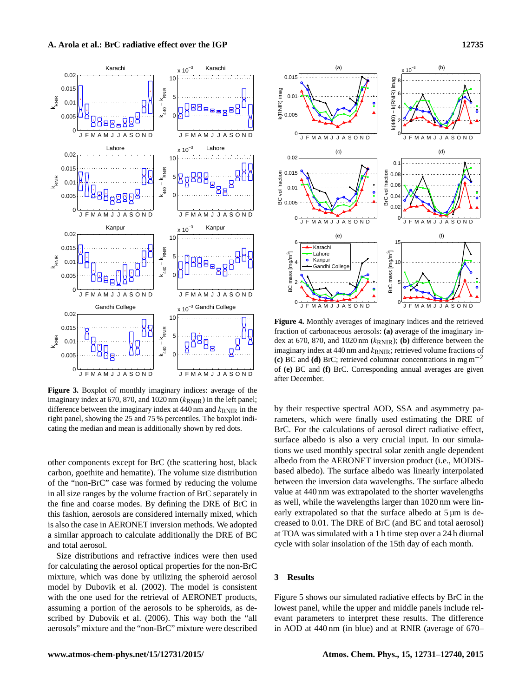

**Figure 3.** Boxplot of monthly imaginary indices: average of the imaginary index at 670, 870, and 1020 nm  $(k_{RNIR})$  in the left panel; difference between the imaginary index at 440 nm and  $k_{RNIR}$  in the right panel, showing the 25 and 75 % percentiles. The boxplot indicating the median and mean is additionally shown by red dots.

other components except for BrC (the scattering host, black carbon, goethite and hematite). The volume size distribution of the "non-BrC" case was formed by reducing the volume in all size ranges by the volume fraction of BrC separately in the fine and coarse modes. By defining the DRE of BrC in this fashion, aerosols are considered internally mixed, which is also the case in AERONET inversion methods. We adopted a similar approach to calculate additionally the DRE of BC and total aerosol.

Size distributions and refractive indices were then used for calculating the aerosol optical properties for the non-BrC mixture, which was done by utilizing the spheroid aerosol model by [Dubovik et al.](#page-8-8) [\(2002\)](#page-8-8). The model is consistent with the one used for the retrieval of AERONET products, assuming a portion of the aerosols to be spheroids, as described by [Dubovik et al.](#page-8-9) [\(2006\)](#page-8-9). This way both the "all aerosols" mixture and the "non-BrC" mixture were described



**Figure 4.** Monthly averages of imaginary indices and the retrieved fraction of carbonaceous aerosols: **(a)** average of the imaginary index at 670, 870, and 1020 nm (kRNIR); **(b)** difference between the imaginary index at 440 nm and  $k_{RNIR}$ ; retrieved volume fractions of **(c)** BC and **(d)** BrC; retrieved columnar concentrations in mg m−<sup>2</sup> of **(e)** BC and **(f)** BrC. Corresponding annual averages are given after December.

by their respective spectral AOD, SSA and asymmetry parameters, which were finally used estimating the DRE of BrC. For the calculations of aerosol direct radiative effect, surface albedo is also a very crucial input. In our simulations we used monthly spectral solar zenith angle dependent albedo from the AERONET inversion product (i.e., MODISbased albedo). The surface albedo was linearly interpolated between the inversion data wavelengths. The surface albedo value at 440 nm was extrapolated to the shorter wavelengths as well, while the wavelengths larger than 1020 nm were linearly extrapolated so that the surface albedo at  $5 \mu m$  is decreased to 0.01. The DRE of BrC (and BC and total aerosol) at TOA was simulated with a 1 h time step over a 24 h diurnal cycle with solar insolation of the 15th day of each month.

# **3 Results**

Figure 5 shows our simulated radiative effects by BrC in the lowest panel, while the upper and middle panels include relevant parameters to interpret these results. The difference in AOD at 440 nm (in blue) and at RNIR (average of 670–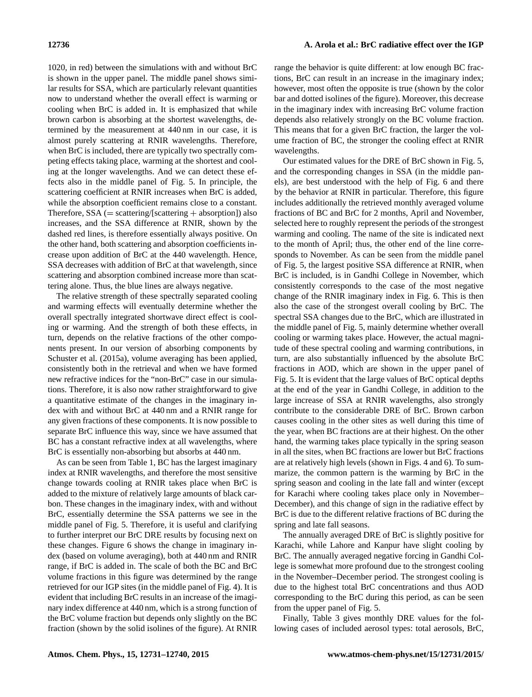1020, in red) between the simulations with and without BrC is shown in the upper panel. The middle panel shows similar results for SSA, which are particularly relevant quantities now to understand whether the overall effect is warming or cooling when BrC is added in. It is emphasized that while brown carbon is absorbing at the shortest wavelengths, determined by the measurement at 440 nm in our case, it is almost purely scattering at RNIR wavelengths. Therefore, when BrC is included, there are typically two spectrally competing effects taking place, warming at the shortest and cooling at the longer wavelengths. And we can detect these effects also in the middle panel of Fig. 5. In principle, the scattering coefficient at RNIR increases when BrC is added, while the absorption coefficient remains close to a constant. Therefore,  $SSA$  (= scattering/[scattering + absorption]) also increases, and the SSA difference at RNIR, shown by the dashed red lines, is therefore essentially always positive. On the other hand, both scattering and absorption coefficients increase upon addition of BrC at the 440 wavelength. Hence, SSA decreases with addition of BrC at that wavelength, since scattering and absorption combined increase more than scattering alone. Thus, the blue lines are always negative.

The relative strength of these spectrally separated cooling and warming effects will eventually determine whether the overall spectrally integrated shortwave direct effect is cooling or warming. And the strength of both these effects, in turn, depends on the relative fractions of the other components present. In our version of absorbing components by [Schuster et al.](#page-9-4) [\(2015a\)](#page-9-4), volume averaging has been applied, consistently both in the retrieval and when we have formed new refractive indices for the "non-BrC" case in our simulations. Therefore, it is also now rather straightforward to give a quantitative estimate of the changes in the imaginary index with and without BrC at 440 nm and a RNIR range for any given fractions of these components. It is now possible to separate BrC influence this way, since we have assumed that BC has a constant refractive index at all wavelengths, where BrC is essentially non-absorbing but absorbs at 440 nm.

As can be seen from Table 1, BC has the largest imaginary index at RNIR wavelengths, and therefore the most sensitive change towards cooling at RNIR takes place when BrC is added to the mixture of relatively large amounts of black carbon. These changes in the imaginary index, with and without BrC, essentially determine the SSA patterns we see in the middle panel of Fig. 5. Therefore, it is useful and clarifying to further interpret our BrC DRE results by focusing next on these changes. Figure 6 shows the change in imaginary index (based on volume averaging), both at 440 nm and RNIR range, if BrC is added in. The scale of both the BC and BrC volume fractions in this figure was determined by the range retrieved for our IGP sites (in the middle panel of Fig. 4). It is evident that including BrC results in an increase of the imaginary index difference at 440 nm, which is a strong function of the BrC volume fraction but depends only slightly on the BC fraction (shown by the solid isolines of the figure). At RNIR range the behavior is quite different: at low enough BC fractions, BrC can result in an increase in the imaginary index; however, most often the opposite is true (shown by the color bar and dotted isolines of the figure). Moreover, this decrease in the imaginary index with increasing BrC volume fraction depends also relatively strongly on the BC volume fraction. This means that for a given BrC fraction, the larger the volume fraction of BC, the stronger the cooling effect at RNIR wavelengths.

Our estimated values for the DRE of BrC shown in Fig. 5, and the corresponding changes in SSA (in the middle panels), are best understood with the help of Fig. 6 and there by the behavior at RNIR in particular. Therefore, this figure includes additionally the retrieved monthly averaged volume fractions of BC and BrC for 2 months, April and November, selected here to roughly represent the periods of the strongest warming and cooling. The name of the site is indicated next to the month of April; thus, the other end of the line corresponds to November. As can be seen from the middle panel of Fig. 5, the largest positive SSA difference at RNIR, when BrC is included, is in Gandhi College in November, which consistently corresponds to the case of the most negative change of the RNIR imaginary index in Fig. 6. This is then also the case of the strongest overall cooling by BrC. The spectral SSA changes due to the BrC, which are illustrated in the middle panel of Fig. 5, mainly determine whether overall cooling or warming takes place. However, the actual magnitude of these spectral cooling and warming contributions, in turn, are also substantially influenced by the absolute BrC fractions in AOD, which are shown in the upper panel of Fig. 5. It is evident that the large values of BrC optical depths at the end of the year in Gandhi College, in addition to the large increase of SSA at RNIR wavelengths, also strongly contribute to the considerable DRE of BrC. Brown carbon causes cooling in the other sites as well during this time of the year, when BC fractions are at their highest. On the other hand, the warming takes place typically in the spring season in all the sites, when BC fractions are lower but BrC fractions are at relatively high levels (shown in Figs. 4 and 6). To summarize, the common pattern is the warming by BrC in the spring season and cooling in the late fall and winter (except for Karachi where cooling takes place only in November– December), and this change of sign in the radiative effect by BrC is due to the different relative fractions of BC during the spring and late fall seasons.

The annually averaged DRE of BrC is slightly positive for Karachi, while Lahore and Kanpur have slight cooling by BrC. The annually averaged negative forcing in Gandhi College is somewhat more profound due to the strongest cooling in the November–December period. The strongest cooling is due to the highest total BrC concentrations and thus AOD corresponding to the BrC during this period, as can be seen from the upper panel of Fig. 5.

Finally, Table 3 gives monthly DRE values for the following cases of included aerosol types: total aerosols, BrC,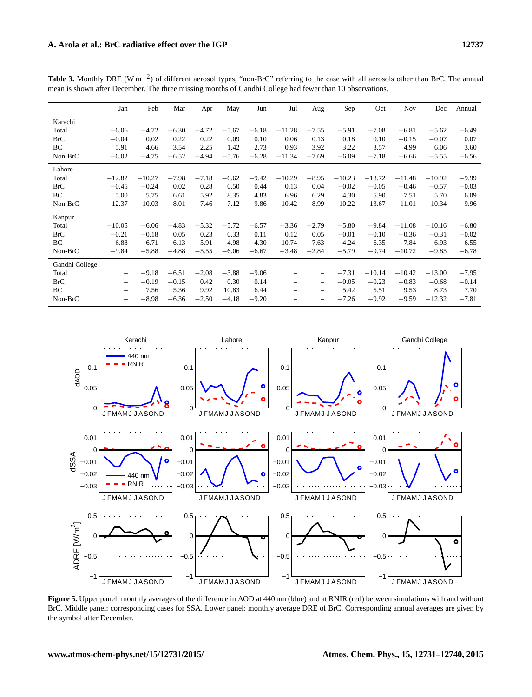|                | Jan                      | Feb      | Mar     | Apr     | May     | Jun     | Jul                      | Aug                      | Sep      | Oct      | <b>Nov</b> | Dec      | Annual  |
|----------------|--------------------------|----------|---------|---------|---------|---------|--------------------------|--------------------------|----------|----------|------------|----------|---------|
| Karachi        |                          |          |         |         |         |         |                          |                          |          |          |            |          |         |
| Total          | $-6.06$                  | $-4.72$  | $-6.30$ | $-4.72$ | $-5.67$ | $-6.18$ | $-11.28$                 | $-7.55$                  | $-5.91$  | $-7.08$  | $-6.81$    | $-5.62$  | $-6.49$ |
| <b>BrC</b>     | $-0.04$                  | 0.02     | 0.22    | 0.22    | 0.09    | 0.10    | 0.06                     | 0.13                     | 0.18     | 0.10     | $-0.15$    | $-0.07$  | 0.07    |
| BC             | 5.91                     | 4.66     | 3.54    | 2.25    | 1.42    | 2.73    | 0.93                     | 3.92                     | 3.22     | 3.57     | 4.99       | 6.06     | 3.60    |
| Non-BrC        | $-6.02$                  | $-4.75$  | $-6.52$ | $-4.94$ | $-5.76$ | $-6.28$ | $-11.34$                 | $-7.69$                  | $-6.09$  | $-7.18$  | $-6.66$    | $-5.55$  | $-6.56$ |
| Lahore         |                          |          |         |         |         |         |                          |                          |          |          |            |          |         |
| Total          | $-12.82$                 | $-10.27$ | $-7.98$ | $-7.18$ | $-6.62$ | $-9.42$ | $-10.29$                 | $-8.95$                  | $-10.23$ | $-13.72$ | $-11.48$   | $-10.92$ | $-9.99$ |
| <b>BrC</b>     | $-0.45$                  | $-0.24$  | 0.02    | 0.28    | 0.50    | 0.44    | 0.13                     | 0.04                     | $-0.02$  | $-0.05$  | $-0.46$    | $-0.57$  | $-0.03$ |
| BC             | 5.00                     | 5.75     | 6.61    | 5.92    | 8.35    | 4.83    | 6.96                     | 6.29                     | 4.30     | 5.90     | 7.51       | 5.70     | 6.09    |
| Non-BrC        | $-12.37$                 | $-10.03$ | $-8.01$ | $-7.46$ | $-7.12$ | $-9.86$ | $-10.42$                 | $-8.99$                  | $-10.22$ | $-13.67$ | $-11.01$   | $-10.34$ | $-9.96$ |
| Kanpur         |                          |          |         |         |         |         |                          |                          |          |          |            |          |         |
| Total          | $-10.05$                 | $-6.06$  | $-4.83$ | $-5.32$ | $-5.72$ | $-6.57$ | $-3.36$                  | $-2.79$                  | $-5.80$  | $-9.84$  | $-11.08$   | $-10.16$ | $-6.80$ |
| <b>BrC</b>     | $-0.21$                  | $-0.18$  | 0.05    | 0.23    | 0.33    | 0.11    | 0.12                     | 0.05                     | $-0.01$  | $-0.10$  | $-0.36$    | $-0.31$  | $-0.02$ |
| BC             | 6.88                     | 6.71     | 6.13    | 5.91    | 4.98    | 4.30    | 10.74                    | 7.63                     | 4.24     | 6.35     | 7.84       | 6.93     | 6.55    |
| Non-BrC        | $-9.84$                  | $-5.88$  | $-4.88$ | $-5.55$ | $-6.06$ | $-6.67$ | $-3.48$                  | $-2.84$                  | $-5.79$  | $-9.74$  | $-10.72$   | $-9.85$  | $-6.78$ |
| Gandhi College |                          |          |         |         |         |         |                          |                          |          |          |            |          |         |
| Total          | $\overline{\phantom{0}}$ | $-9.18$  | $-6.51$ | $-2.08$ | $-3.88$ | $-9.06$ |                          |                          | $-7.31$  | $-10.14$ | $-10.42$   | $-13.00$ | $-7.95$ |
| <b>BrC</b>     | -                        | $-0.19$  | $-0.15$ | 0.42    | 0.30    | 0.14    | $\overline{\phantom{0}}$ |                          | $-0.05$  | $-0.23$  | $-0.83$    | $-0.68$  | $-0.14$ |
| BC             | $\overline{\phantom{0}}$ | 7.56     | 5.36    | 9.92    | 10.83   | 6.44    | $\overline{\phantom{0}}$ | $\overline{\phantom{0}}$ | 5.42     | 5.51     | 9.53       | 8.73     | 7.70    |
| Non-BrC        |                          | $-8.98$  | $-6.36$ | $-2.50$ | $-4.18$ | $-9.20$ |                          |                          | $-7.26$  | $-9.92$  | $-9.59$    | $-12.32$ | $-7.81$ |

Table 3. Monthly DRE (W m<sup>-2</sup>) of different aerosol types, "non-BrC" referring to the case with all aerosols other than BrC. The annual mean is shown after December. The three missing months of Gandhi College had fewer than 10 observations.



**Figure 5.** Upper panel: monthly averages of the difference in AOD at 440 nm (blue) and at RNIR (red) between simulations with and without BrC. Middle panel: corresponding cases for SSA. Lower panel: monthly average DRE of BrC. Corresponding annual averages are given by the symbol after December.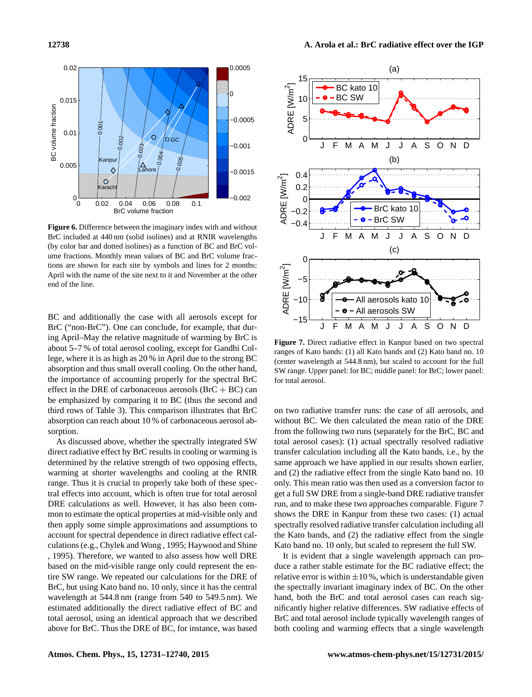

**Figure 6.** Difference between the imaginary index with and without BrC included at 440 nm (solid isolines) and at RNIR wavelengths (by color bar and dotted isolines) as a function of BC and BrC volume fractions. Monthly mean values of BC and BrC volume fractions are shown for each site by symbols and lines for 2 months: April with the name of the site next to it and November at the other end of the line.

BC and additionally the case with all aerosols except for BrC ("non-BrC"). One can conclude, for example, that during April–May the relative magnitude of warming by BrC is about 5–7 % of total aerosol cooling, except for Gandhi College, where it is as high as 20 % in April due to the strong BC absorption and thus small overall cooling. On the other hand, the importance of accounting properly for the spectral BrC effect in the DRE of carbonaceous aerosols  $(BrC + BC)$  can be emphasized by comparing it to BC (thus the second and third rows of Table 3). This comparison illustrates that BrC absorption can reach about 10 % of carbonaceous aerosol absorption.

As discussed above, whether the spectrally integrated SW direct radiative effect by BrC results in cooling or warming is determined by the relative strength of two opposing effects, warming at shorter wavelengths and cooling at the RNIR range. Thus it is crucial to properly take both of these spectral effects into account, which is often true for total aerosol DRE calculations as well. However, it has also been common to estimate the optical properties at mid-visible only and then apply some simple approximations and assumptions to account for spectral dependence in direct radiative effect calculations (e.g., [Chylek and Wong](#page-8-10) , [1995;](#page-8-10) [Haywood and Shine](#page-8-11) [,](#page-8-11) [1995\)](#page-8-11). Therefore, we wanted to also assess how well DRE based on the mid-visible range only could represent the entire SW range. We repeated our calculations for the DRE of BrC, but using Kato band no. 10 only, since it has the central wavelength at 544.8 nm (range from 540 to 549.5 nm). We estimated additionally the direct radiative effect of BC and total aerosol, using an identical approach that we described above for BrC. Thus the DRE of BC, for instance, was based



**Figure 7.** Direct radiative effect in Kanpur based on two spectral ranges of Kato bands: (1) all Kato bands and (2) Kato band no. 10 (center wavelength at 544.8 nm), but scaled to account for the full SW range. Upper panel: for BC; middle panel: for BrC; lower panel: for total aerosol.

on two radiative transfer runs: the case of all aerosols, and without BC. We then calculated the mean ratio of the DRE from the following two runs (separately for the BrC, BC and total aerosol cases): (1) actual spectrally resolved radiative transfer calculation including all the Kato bands, i.e., by the same approach we have applied in our results shown earlier, and (2) the radiative effect from the single Kato band no. 10 only. This mean ratio was then used as a conversion factor to get a full SW DRE from a single-band DRE radiative transfer run, and to make these two approaches comparable. Figure 7 shows the DRE in Kanpur from these two cases: (1) actual spectrally resolved radiative transfer calculation including all the Kato bands, and (2) the radiative effect from the single Kato band no. 10 only, but scaled to represent the full SW.

It is evident that a single wavelength approach can produce a rather stable estimate for the BC radiative effect; the relative error is within  $\pm 10$ %, which is understandable given the spectrally invariant imaginary index of BC. On the other hand, both the BrC and total aerosol cases can reach significantly higher relative differences. SW radiative effects of BrC and total aerosol include typically wavelength ranges of both cooling and warming effects that a single wavelength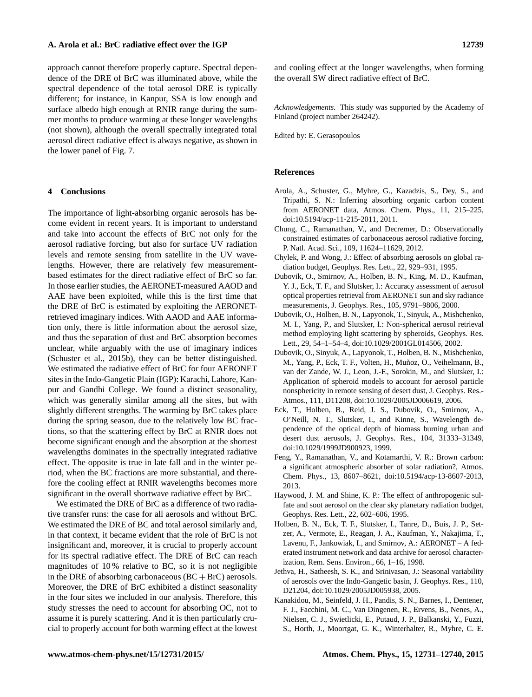### **A. Arola et al.: BrC radiative effect over the IGP 12739**

approach cannot therefore properly capture. Spectral dependence of the DRE of BrC was illuminated above, while the spectral dependence of the total aerosol DRE is typically different; for instance, in Kanpur, SSA is low enough and surface albedo high enough at RNIR range during the summer months to produce warming at these longer wavelengths (not shown), although the overall spectrally integrated total aerosol direct radiative effect is always negative, as shown in the lower panel of Fig. 7.

## **4 Conclusions**

The importance of light-absorbing organic aerosols has become evident in recent years. It is important to understand and take into account the effects of BrC not only for the aerosol radiative forcing, but also for surface UV radiation levels and remote sensing from satellite in the UV wavelengths. However, there are relatively few measurementbased estimates for the direct radiative effect of BrC so far. In those earlier studies, the AERONET-measured AAOD and AAE have been exploited, while this is the first time that the DRE of BrC is estimated by exploiting the AERONETretrieved imaginary indices. With AAOD and AAE information only, there is little information about the aerosol size, and thus the separation of dust and BrC absorption becomes unclear, while arguably with the use of imaginary indices [\(Schuster et al.,](#page-9-5) [2015b\)](#page-9-5), they can be better distinguished. We estimated the radiative effect of BrC for four AERONET sites in the Indo-Gangetic Plain (IGP): Karachi, Lahore, Kanpur and Gandhi College. We found a distinct seasonality, which was generally similar among all the sites, but with slightly different strengths. The warming by BrC takes place during the spring season, due to the relatively low BC fractions, so that the scattering effect by BrC at RNIR does not become significant enough and the absorption at the shortest wavelengths dominates in the spectrally integrated radiative effect. The opposite is true in late fall and in the winter period, when the BC fractions are more substantial, and therefore the cooling effect at RNIR wavelengths becomes more significant in the overall shortwave radiative effect by BrC.

We estimated the DRE of BrC as a difference of two radiative transfer runs: the case for all aerosols and without BrC. We estimated the DRE of BC and total aerosol similarly and, in that context, it became evident that the role of BrC is not insignificant and, moreover, it is crucial to properly account for its spectral radiative effect. The DRE of BrC can reach magnitudes of 10 % relative to BC, so it is not negligible in the DRE of absorbing carbonaceous  $(BC + BrC)$  aerosols. Moreover, the DRE of BrC exhibited a distinct seasonality in the four sites we included in our analysis. Therefore, this study stresses the need to account for absorbing OC, not to assume it is purely scattering. And it is then particularly crucial to properly account for both warming effect at the lowest

and cooling effect at the longer wavelengths, when forming the overall SW direct radiative effect of BrC.

*Acknowledgements.* This study was supported by the Academy of Finland (project number 264242).

Edited by: E. Gerasopoulos

# **References**

- <span id="page-8-7"></span>Arola, A., Schuster, G., Myhre, G., Kazadzis, S., Dey, S., and Tripathi, S. N.: Inferring absorbing organic carbon content from AERONET data, Atmos. Chem. Phys., 11, 215–225, doi[:10.5194/acp-11-215-2011,](http://dx.doi.org/10.5194/acp-11-215-2011) 2011.
- <span id="page-8-1"></span>Chung, C., Ramanathan, V., and Decremer, D.: Observationally constrained estimates of carbonaceous aerosol radiative forcing, P. Natl. Acad. Sci., 109, 11624–11629, 2012.
- <span id="page-8-10"></span>Chylek, P. and Wong, J.: Effect of absorbing aerosols on global radiation budget, Geophys. Res. Lett., 22, 929–931, 1995.
- <span id="page-8-5"></span>Dubovik, O., Smirnov, A., Holben, B. N., King, M. D., Kaufman, Y. J., Eck, T. F., and Slutsker, I.: Accuracy assessment of aerosol optical properties retrieval from AERONET sun and sky radiance measurements, J. Geophys. Res., 105, 9791–9806, 2000.
- <span id="page-8-8"></span>Dubovik, O., Holben, B. N., Lapyonok, T., Sinyuk, A., Mishchenko, M. I., Yang, P., and Slutsker, I.: Non-spherical aerosol retrieval method employing light scattering by spheroids, Geophys. Res. Lett., 29, 54–1–54–4, doi[:10.1029/2001GL014506,](http://dx.doi.org/10.1029/2001GL014506) 2002.
- <span id="page-8-9"></span>Dubovik, O., Sinyuk, A., Lapyonok, T., Holben, B. N., Mishchenko, M., Yang, P., Eck, T. F., Volten, H., Muñoz, O., Veihelmann, B., van der Zande, W. J., Leon, J.-F., Sorokin, M., and Slutsker, I.: Application of spheroid models to account for aerosol particle nonsphericity in remote sensing of desert dust, J. Geophys. Res.- Atmos., 111, D11208, doi[:10.1029/2005JD006619,](http://dx.doi.org/10.1029/2005JD006619) 2006.
- <span id="page-8-4"></span>Eck, T., Holben, B., Reid, J. S., Dubovik, O., Smirnov, A., O'Neill, N. T., Slutsker, I., and Kinne, S., Wavelength dependence of the optical depth of biomass burning urban and desert dust aerosols, J. Geophys. Res., 104, 31333–31349, doi[:10.1029/1999JD900923,](http://dx.doi.org/10.1029/1999JD900923) 1999.
- <span id="page-8-2"></span>Feng, Y., Ramanathan, V., and Kotamarthi, V. R.: Brown carbon: a significant atmospheric absorber of solar radiation?, Atmos. Chem. Phys., 13, 8607–8621, doi[:10.5194/acp-13-8607-2013,](http://dx.doi.org/10.5194/acp-13-8607-2013) 2013.
- <span id="page-8-11"></span>Haywood, J. M. and Shine, K. P.: The effect of anthropogenic sulfate and soot aerosol on the clear sky planetary radiation budget, Geophys. Res. Lett., 22, 602–606, 1995.
- <span id="page-8-3"></span>Holben, B. N., Eck, T. F., Slutsker, I., Tanre, D., Buis, J. P., Setzer, A., Vermote, E., Reagan, J. A., Kaufman, Y., Nakajima, T., Lavenu, F., Jankowiak, I., and Smirnov, A.: AERONET – A federated instrument network and data archive for aerosol characterization, Rem. Sens. Environ., 66, 1–16, 1998.
- <span id="page-8-6"></span>Jethva, H., Satheesh, S. K., and Srinivasan, J.: Seasonal variability of aerosols over the Indo-Gangetic basin, J. Geophys. Res., 110, D21204, doi[:10.1029/2005JD005938,](http://dx.doi.org/10.1029/2005JD005938) 2005.
- <span id="page-8-0"></span>Kanakidou, M., Seinfeld, J. H., Pandis, S. N., Barnes, I., Dentener, F. J., Facchini, M. C., Van Dingenen, R., Ervens, B., Nenes, A., Nielsen, C. J., Swietlicki, E., Putaud, J. P., Balkanski, Y., Fuzzi, S., Horth, J., Moortgat, G. K., Winterhalter, R., Myhre, C. E.